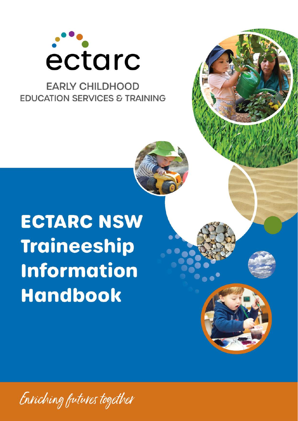

### **FARIY CHILDHOOD EDUCATION SERVICES & TRAINING**

# **ECTARC NSW Traineeship Information Handbook**

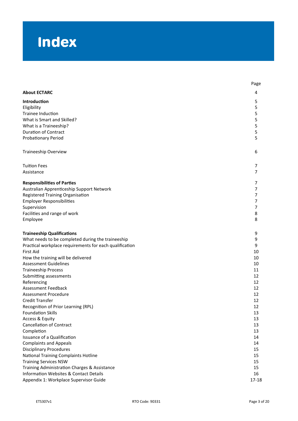# Index

|                                                                                                   | Page      |
|---------------------------------------------------------------------------------------------------|-----------|
| <b>About ECTARC</b>                                                                               | 4         |
| Introduction                                                                                      | 5         |
| Eligibility                                                                                       | 5         |
| Trainee Induction                                                                                 | 5         |
| What is Smart and Skilled?                                                                        | 5         |
| What is a Traineeship?                                                                            | 5         |
| <b>Duration of Contract</b>                                                                       | 5         |
| <b>Probationary Period</b>                                                                        | 5         |
| Traineeship Overview                                                                              | 6         |
| <b>Tuition Fees</b>                                                                               | 7         |
| Assistance                                                                                        | 7         |
| <b>Responsibilities of Parties</b>                                                                | 7         |
| Australian Apprenticeship Support Network                                                         | 7         |
| Registered Training Organisation                                                                  | 7         |
| <b>Employer Responsibilities</b>                                                                  | 7         |
| Supervision                                                                                       | 7         |
| Facilities and range of work                                                                      | 8         |
| Employee                                                                                          | 8         |
| <b>Traineeship Qualifications</b>                                                                 | 9         |
| What needs to be completed during the traineeship                                                 | 9         |
| Practical workplace requirements for each qualification                                           | 9         |
| First Aid                                                                                         | 10        |
| How the training will be delivered                                                                | 10        |
| <b>Assessment Guidelines</b>                                                                      | 10        |
| <b>Traineeship Process</b>                                                                        | 11        |
| Submitting assessments                                                                            | 12        |
| Referencing                                                                                       | 12        |
| <b>Assessment Feedback</b>                                                                        | 12        |
| <b>Assessment Procedure</b>                                                                       | 12        |
| Credit Transfer                                                                                   | 12        |
| Recognition of Prior Learning (RPL)                                                               | 12        |
| <b>Foundation Skills</b>                                                                          | 13        |
| Access & Equity                                                                                   | 13        |
| <b>Cancellation of Contract</b>                                                                   | 13        |
| Completion                                                                                        | 13        |
| Issuance of a Qualification                                                                       | 14        |
| <b>Complaints and Appeals</b>                                                                     | 14        |
| <b>Disciplinary Procedures</b>                                                                    | 15        |
| National Training Complaints Hotline                                                              | 15        |
| <b>Training Services NSW</b>                                                                      | 15        |
| Training Administration Charges & Assistance<br><b>Information Websites &amp; Contact Details</b> | 15<br>16  |
| Appendix 1: Workplace Supervisor Guide                                                            | $17 - 18$ |
|                                                                                                   |           |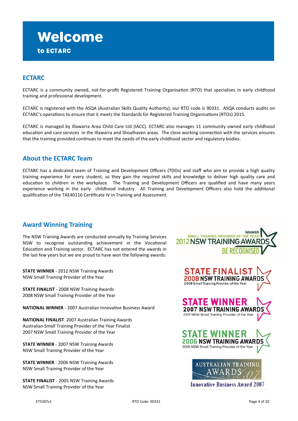### **Welcome** to ECTARC

### **ECTARC**

ECTARC is a community owned, not-for-profit Registered Training Organisation (RTO) that specialises in early childhood training and professional development.

ECTARC is registered with the ASQA (Australian Skills Quality Authority), our RTO code is 90331. ASQA conducts audits on ECTARC's operations to ensure that it meets the Standards for Registered Training Organisations (RTOs) 2015.

ECTARC is managed by Illawarra Area Child Care Ltd (IACC). ECTARC also manages 11 community owned early childhood education and care services in the Illawarra and Shoalhaven areas. The close working connection with the services ensures that the training provided continues to meet the needs of the early childhood sector and regulatory bodies.

### **About the ECTARC Team**

ECTARC has a dedicated team of Training and Development Officers (TDOs) and staff who aim to provide a high quality training experience for every student, so they gain the required skills and knowledge to deliver high quality care and education to children in the workplace. The Training and Development Officers are qualified and have many years experience working in the early childhood industry. All Training and Development Officers also hold the additional qualification of the TAE40116 Certificate IV in Training and Assessment.

### **Award Winning Training**

The NSW Training Awards are conducted annually by Training Services NSW to recognise outstanding achievement in the Vocational Education and Training sector. ECTARC has not entered the awards in the last few years but we are proud to have won the following awards:

**STATE WINNER** - 2012 NSW Training Awards NSW Small Training Provider of the Year

**STATE FINALIST** - 2008 NSW Training Awards 2008 NSW Small Training Provider of the Year

**NATIONAL WINNER** - 2007 Australian Innovative Business Award

**NATIONAL FINALIST** 2007 Australian Training Awards Australian Small Training Provider of the Year Finalist 2007 NSW Small Training Provider of the Year

**STATE WINNER** - 2007 NSW Training Awards NSW Small Training Provider of the Year

**STATE WINNER** - 2006 NSW Training Awards NSW Small Training Provider of the Year

**STATE FINALIST** - 2005 NSW Training Awards NSW Small Training Provider of the Year

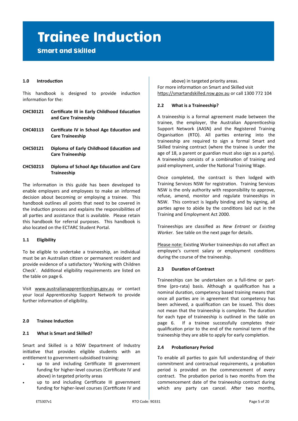## **Trainee Induction**

**Smart and Skilled** 

### **1.0 Introduction**

This handbook is designed to provide induction information for the:

- **CHC30121 Certificate III in Early Childhood Education and Care Traineeship**
- **CHC40113 Certificate IV in School Age Education and Care Traineeship**
- **CHC50121 Diploma of Early Childhood Education and Care Traineeship**
- **CHC50213 Diploma of School Age Education and Care Traineeship**

The information in this guide has been developed to enable employers and employees to make an informed decision about becoming or employing a trainee. This handbook outlines all points that need to be covered in the induction process and explains the responsibilities of all parties and assistance that is available. Please retain this handbook for referral purposes. This handbook is also located on the ECTARC Student Portal.

### **1.1 Eligibility**

To be eligible to undertake a traineeship, an individual must be an Australian citizen or permanent resident and provide evidence of a satisfactory 'Working with Children Check'. Additional eligibility requirements are listed on the table on page 6.

Visit [www.australianapprenticeships.gov.au](http://www.newapprenticeships.gov.au) or contact your local Apprenticeship Support Network to provide further information of eligibility.

### **2.0 Trainee Induction**

### **2.1 What is Smart and Skilled?**

Smart and Skilled is a NSW Department of Industry initiative that provides eligible students with an entitlement to government-subsidised training:

- up to and including Certificate III government funding for higher-level courses (Certificate IV and above) in targeted priority areas
- up to and including Certificate III government funding for higher-level courses (Certificate IV and

above) in targeted priority areas. For more information on Smart and Skilled visit [https://smartandskilled.nsw.gov.au](http://www.smartandskilled.nsw.gov.au/) or call 1300 772 104

### **2.2 What is a Traineeship?**

A traineeship is a formal agreement made between the trainee, the employer, the Australian Apprenticeship Support Network (AASN) and the Registered Training Organisation (RTO). All parties entering into the traineeship are required to sign a formal Smart and Skilled training contract (where the trainee is under the age of 18, a parent or guardian must also sign as a party). A traineeship consists of a combination of training and paid employment, under the National Training Wage.

Once completed, the contract is then lodged with Training Services NSW for registration. Training Services NSW is the only authority with responsibility to approve, refuse, amend, monitor and regulate traineeships in NSW. This contract is legally binding and by signing, all parties agree to abide by the conditions laid out in the Training and Employment Act 2000.

Traineeships are classified as *New Entrant* or *Existing Worker*. See table on the next page for details.

Please note: Existing Worker traineeships do not affect an employee's current salary or employment conditions during the course of the traineeship.

### **2.3 Duration of Contract**

Traineeships can be undertaken on a full-time or parttime (pro-rata) basis. Although a qualification has a nominal duration, competency based training means that once all parties are in agreement that competency has been achieved, a qualification can be issued. This does not mean that the traineeship is complete. The duration for each type of traineeship is outlined in the table on page 6. If a trainee successfully completes their qualification prior to the end of the nominal term of the traineeship they are able to apply for early completion.

### **2.4 Probationary Period**

To enable all parties to gain full understanding of their commitment and contractual requirements, a probation period is provided on the commencement of every contract. The probation period is two months from the commencement date of the traineeship contract during which any party can cancel. After two months,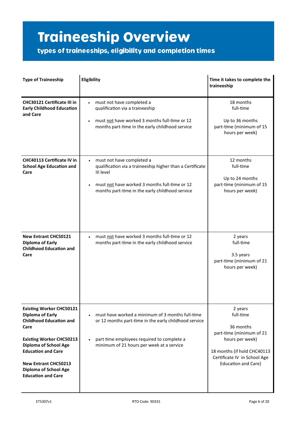# **Traineeship Overview**

types of traineeships, eligibility and completion times

| <b>Type of Traineeship</b>                                                                                                                                                               | Eligibility                                                                                                                                                                                             | Time it takes to complete the<br>traineeship                                                                                             |
|------------------------------------------------------------------------------------------------------------------------------------------------------------------------------------------|---------------------------------------------------------------------------------------------------------------------------------------------------------------------------------------------------------|------------------------------------------------------------------------------------------------------------------------------------------|
| <b>CHC30121 Certificate III in</b><br><b>Early Childhood Education</b><br>and Care                                                                                                       | must not have completed a<br>qualification via a traineeship<br>must not have worked 3 months full-time or 12<br>months part-time in the early childhood service                                        | 18 months<br>full-time<br>Up to 36 months<br>part-time (minimum of 15<br>hours per week)                                                 |
| <b>CHC40113 Certificate IV in</b><br><b>School Age Education and</b><br>Care                                                                                                             | must not have completed a<br>qualification via a traineeship higher than a Certificate<br>III level<br>must not have worked 3 months full-time or 12<br>months part-time in the early childhood service | 12 months<br>full-time<br>Up to 24 months<br>part-time (minimum of 15<br>hours per week)                                                 |
| <b>New Entrant CHC50121</b><br><b>Diploma of Early</b><br><b>Childhood Education and</b><br>Care                                                                                         | must not have worked 3 months full-time or 12<br>$\bullet$<br>months part-time in the early childhood service                                                                                           | 2 years<br>full-time<br>3.5 years<br>part-time (minimum of 21<br>hours per week)                                                         |
| <b>Existing Worker CHC50121</b><br><b>Diploma of Early</b><br><b>Childhood Education and</b><br>Care                                                                                     | must have worked a minimum of 3 months full-time<br>or 12 months part-time in the early childhood service                                                                                               | 2 years<br>full-time<br>36 months                                                                                                        |
| <b>Existing Worker CHC50213</b><br><b>Diploma of School Age</b><br><b>Education and Care</b><br><b>New Entrant CHC50213</b><br><b>Diploma of School Age</b><br><b>Education and Care</b> | part time employees required to complete a<br>minimum of 21 hours per week at a service                                                                                                                 | part-time (minimum of 21<br>hours per week)<br>18 months (if hold CHC40113<br>Certificate IV in School Age<br><b>Education and Care)</b> |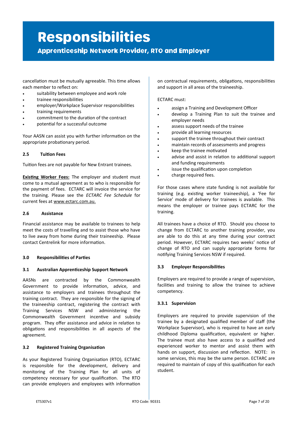# **Responsibilities**

**Apprenticeship Network Provider, RTO and Employer** 

cancellation must be mutually agreeable. This time allows each member to reflect on:

- suitability between employee and work role
- trainee responsibilities
- employer/Workplace Supervisor responsibilities
- training requirements
- commitment to the duration of the contract
- potential for a successful outcome

Your AASN can assist you with further information on the appropriate probationary period.

### **2.5 Tuition Fees**

Tuition fees are not payable for New Entrant trainees.

**Existing Worker Fees:** The employer and student must come to a mutual agreement as to who is responsible for the payment of fees. ECTARC will invoice the service for the training. Please see the *ECTARC Fee Schedule* for current fees at www.ectarc.com.au.

### **2.6 Assistance**

Financial assistance may be available to trainees to help meet the costs of travelling and to assist those who have to live away from home during their traineeship. Please contact Centrelink for more information.

### **3.0 Responsibilities of Parties**

### **3.1 Australian Apprenticeship Support Network**

AASNs are contracted by the Commonwealth Government to provide information, advice, and assistance to employers and trainees throughout the training contract. They are responsible for the signing of the traineeship contract, registering the contract with Training Services NSW and administering the Commonwealth Government incentive and subsidy program. They offer assistance and advice in relation to obligations and responsibilities in all aspects of the agreement.

### **3.2 Registered Training Organisation**

As your Registered Training Organisation (RTO), ECTARC is responsible for the development, delivery and monitoring of the Training Plan for all units of competency necessary for your qualification. The RTO can provide employers and employees with information on contractual requirements, obligations, responsibilities and support in all areas of the traineeship.

### ECTARC must:

- assign a Training and Development Officer
- develop a Training Plan to suit the trainee and employer needs
- assess support needs of the trainee
- provide all learning resources
- support the trainee throughout their contract
- maintain records of assessments and progress
- keep the trainee motivated
- advise and assist in relation to additional support and funding requirements
- issue the qualification upon completion
- charge required fees.

For those cases where state funding is not available for training (e.g. existing worker traineeship), a 'Fee for Service' mode of delivery for trainees is available. This means the employer or trainee pays ECTARC for the training.

All trainees have a choice of RTO. Should you choose to change from ECTARC to another training provider, you are able to do this at any time during your contract period. However, ECTARC requires two weeks' notice of change of RTO and can supply appropriate forms for notifying Training Services NSW if required.

### **3.3 Employer Responsibilities**

Employers are required to provide a range of supervision, facilities and training to allow the trainee to achieve competency.

### **3.3.1 Supervision**

Employers are required to provide supervision of the trainee by a designated qualified member of staff (the Workplace Supervisor), who is required to have an early childhood Diploma qualification, equivalent or higher. The trainee must also have access to a qualified and experienced worker to mentor and assist them with hands on support, discussion and reflection. NOTE: in some services, this may be the same person. ECTARC are required to maintain of copy of this qualification for each student.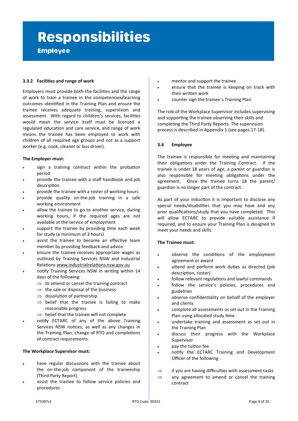# **Responsibilities**

**Employee** 

### **3.3.2 Facilities and range of work**

Employers must provide both the facilities and the range of work to train a trainee in the competencies/learning outcomes identified in the Training Plan and ensure the trainee receives adequate training, supervision and assessment. With regard to children's services, facilities would mean the service itself must be licensed a regulated education and care service, and range of work means the trainee has been employed to work with children of all required age groups and not as a support worker (e.g. cook, cleaner or bus driver).

### **The Employer must:**

- sign a training contract within the probation period
- provide the trainee with a staff handbook and job description
- provide the trainee with a roster of working hours
- provide quality on-the-job training in a safe working environment
- allow the trainee to go to another service, during working hours, if the required ages are not available at the service of employment
- support the trainee by providing time each week for study (a minimum of 3 hours)
- assist the trainee to become an effective team member by providing feedback and advice
- ensure the trainee receives appropriate wages as outlined by Training Services NSW and Industrial Relations [www.industrialrelations.nsw.gov.au](http://www.dir.qld.gov.au)
- notify Training Services NSW in writing within 14 days of the following:
	- $\Rightarrow$  to amend or cancel the training contract
	- $\Rightarrow$  the sale or disposal of the business
	- $\Rightarrow$  dissolution of partnership
	- $\Rightarrow$  belief that the trainee is failing to make reasonable progress
	- $\Rightarrow$  belief that the trainee will not complete
- notify ECTARC of any of the above Training Services NSW notices, as well as any changes in the Training Plan, change of RTO and completions of contract requirements.

### **The Workplace Supervisor must:**

- have regular discussions with the trainee about the on-the-job component of the traineeship (Third Party Report)
- assist the trainee to follow service policies and procedures
- mentor and support the trainee
- ensure that the trainee is keeping on track with their written work
- counter sign the trainee's Training Plan.

The role of the Workplace Supervisor includes supervising and supporting the trainee observing their skills and completing the Third Party Reports. The supervision process is described in Appendix 1 (see pages 17-18).

### **3.4 Employee**

The trainee is responsible for meeting and maintaining their obligations under the Training Contract. If the trainee is under 18 years of age, a parent or guardian is also responsible for meeting obligations under the agreement. Once the trainee turns 18 the parent/ guardian is no longer part of the contract.

As part of your induction it is important to disclose any special needs/disabilities that you may have and any prior qualifications/study that you have completed. This will allow ECTARC to provide suitable assistance if required, and to ensure your Training Plan is designed to meet your needs and skills.

### **The Trainee must:**

- observe the conditions of the employment agreement or award
- attend and perform work duties as directed (job description, roster)
- follow relevant regulations and lawful commands
- follow the service's policies, procedures and guidelines
- observe confidentiality on behalf of the employer and clients
- complete all assessments as set out in the Training Plan using allocated study time
- undertake training and assessment as set out in the Training Plan
- discuss their progress with the Workplace Supervisor
- pay the tuition fee
- notify the ECTARC Training and Development Officer of the following :
- $\Rightarrow$  if you are having difficulties with assessment tasks
- $\Rightarrow$  any agreement to amend or cancel the training contract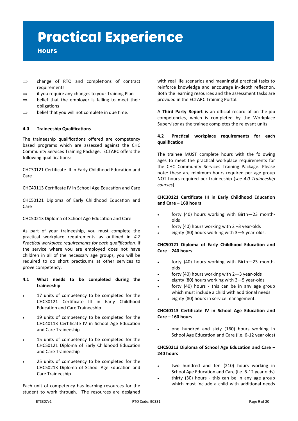# **Practical Experience**

### **Hours**

- $\Rightarrow$  change of RTO and completions of contract requirements
- $\Rightarrow$  if you require any changes to your Training Plan
- $\Rightarrow$  belief that the employer is failing to meet their obligations
- $\Rightarrow$  belief that you will not complete in due time.

### **4.0 Traineeship Qualifications**

The traineeship qualifications offered are competency based programs which are assessed against the CHC Community Services Training Package. ECTARC offers the following qualifications:

CHC30121 Certificate III in Early Childhood Education and Care

CHC40113 Certificate IV in School Age Education and Care

CHC50121 Diploma of Early Childhood Education and Care

CHC50213 Diploma of School Age Education and Care

As part of your traineeship, you must complete the practical workplace requirements as outlined in *4.2 Practical workplace requirements for each qualification*. If the service where you are employed does not have children in all of the necessary age groups, you will be required to do short practicums at other services to prove competency.

#### **4.1 What needs to be completed during the traineeship**

- 17 units of competency to be completed for the CHC30121 Certificate III in Early Childhood Education and Care Traineeship
- 19 units of competency to be completed for the CHC40113 Certificate IV in School Age Education and Care Traineeship
- 15 units of competency to be completed for the CHC50121 Diploma of Early Childhood Education and Care Traineeship
- 25 units of competency to be completed for the CHC50213 Diploma of School Age Education and Care Traineeship

Each unit of competency has learning resources for the student to work through. The resources are designed

with real life scenarios and meaningful practical tasks to reinforce knowledge and encourage in-depth reflection. Both the learning resources and the assessment tasks are provided in the ECTARC Training Portal.

A **Third Party Report** is an official record of on-the-job competencies, which is completed by the Workplace Supervisor as the trainee completes the relevant units.

### **4.2 Practical workplace requirements for each qualification**

The trainee MUST complete hours with the following ages to meet the practical workplace requirements for the CHC Community Services Training Package. Please note: these are minimum hours required per age group NOT hours required per traineeship (*see 4.0 Traineeship courses*).

### **CHC30121 Certificate III in Early Childhood Education and Care – 160 hours**

- forty (40) hours working with Birth-23 montholds
- forty (40) hours working with  $2 3$  year-olds
- eighty (80) hours working with 3-5 year-olds.

### **CHC50121 Diploma of Early Childhood Education and Care – 240 hours**

- forty (40) hours working with Birth—23 montholds
- forty (40) hours working with  $2-3$  year-olds
- eighty (80) hours working with  $3-5$  year-olds
- forty  $(40)$  hours this can be in any age group which must include a child with additional needs
- eighty (80) hours in service management.

### **CHC40113 Certificate IV in School Age Education and Care – 160 hours**

• one hundred and sixty (160) hours working in School Age Education and Care (i.e. 6-12 year olds)

### **CHC50213 Diploma of School Age Education and Care – 240 hours**

- two hundred and ten (210) hours working in School Age Education and Care (i.e. 6-12 year olds)
- thirty  $(30)$  hours this can be in any age group which must include a child with additional needs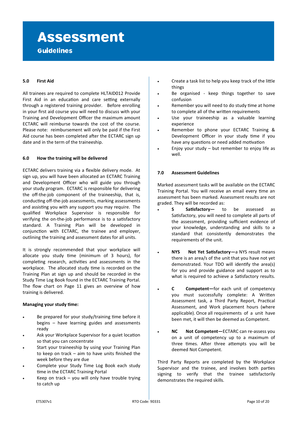### **Assessment Guidelines**

### **5.0 First Aid**

All trainees are required to complete HLTAID012 Provide First Aid in an education and care setting externally through a registered training provider. Before enrolling in your first aid course you will need to discuss with your Training and Development Officer the maximum amount ECTARC will reimburse towards the cost of the course. Please note: reimbursement will only be paid if the First Aid course has been completed after the ECTARC sign up date and in the term of the traineeship.

#### **6.0 How the training will be delivered**

ECTARC delivers training via a flexible delivery mode. At sign up, you will have been allocated an ECTARC Training and Development Officer who will guide you through your study program. ECTARC is responsible for delivering the off-the-job component of the traineeship, that is, conducting off-the-job assessments, marking assessments and assisting you with any support you may require. The qualified Workplace Supervisor is responsible for verifying the on-the-job performance is to a satisfactory standard. A Training Plan will be developed in conjunction with ECTARC, the trainee and employer, outlining the training and assessment dates for all units.

It is strongly recommended that your workplace will allocate you study time (minimum of 3 hours), for completing research, activities and assessments in the workplace. The allocated study time is recorded on the Training Plan at sign up and should be recorded in the Study Time Log Book found in the ECTARC Training Portal. The flow chart on Page 11 gives an overview of how training is delivered.

#### **Managing your study time:**

- Be prepared for your study/training time before it begins – have learning guides and assessments ready
- Ask your Workplace Supervisor for a quiet location so that you can concentrate
- Start your traineeship by using your Training Plan to keep on track – aim to have units finished the week before they are due
- Complete your Study Time Log Book each study time in the ECTARC Training Portal
- Keep on track  $-$  you will only have trouble trying to catch up
- Create a task list to help you keep track of the little things
- Be organised keep things together to save confusion
- Remember you will need to do study time at home to complete all of the written requirements
- Use your traineeship as a valuable learning experience
- Remember to phone your ECTARC Training & Development Officer in your study time if you have any questions or need added motivation
- Enjoy your study  $-$  but remember to enjoy life as well.

#### **7.0 Assessment Guidelines**

Marked assessment tasks will be available on the ECTARC Training Portal. You will receive an email every time an assessment has been marked. Assessment results are not graded. They will be recorded as:

- **S Satisfactory** to be assessed as Satisfactory, you will need to complete all parts of the assessment, providing sufficient evidence of your knowledge, understanding and skills to a standard that consistently demonstrates the requirements of the unit.
- **NYS Not Yet Satisfactory—**a NYS result means there is an area/s of the unit that you have not yet demonstrated. Your TDO will identify the area(s) for you and provide guidance and support as to what is required to achieve a Satisfactory results.
- **C Competent—**for each unit of competency you must successfully complete: A Written Assessment task, a Third Party Report, Practical Assessment, and Work placement hours (where applicable). Once all requirements of a unit have been met, it will then be deemed as Competent.
- **NC Not Competent—**ECTARC can re-assess you on a unit of competency up to a maximum of three times. After three attempts you will be deemed Not Competent.

Third Party Reports are completed by the Workplace Supervisor and the trainee, and involves both parties signing to verify that the trainee satisfactorily demonstrates the required skills.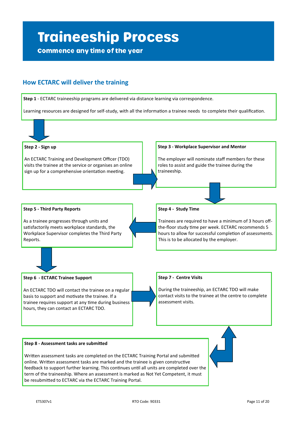# **Traineeship Process**

**Commence any time of the year** 

### **How ECTARC will deliver the training**

**Step 1** - ECTARC traineeship programs are delivered via distance learning via correspondence.

Learning resources are designed for self-study, with all the information a trainee needs to complete their qualification.



Written assessment tasks are completed on the ECTARC Training Portal and submitted online. Written assessment tasks are marked and the trainee is given constructive feedback to support further learning. This continues until all units are completed over the term of the traineeship. Where an assessment is marked as Not Yet Competent, it must be resubmitted to ECTARC via the ECTARC Training Portal.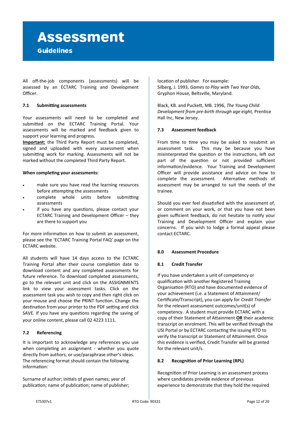### **Assessment Guidelines**

All off-the-job components (assessments) will be assessed by an ECTARC Training and Development Officer.

### **7.1 Submitting assessments**

Your assessments will need to be completed and submitted on the ECTARC Training Portal. Your assessments will be marked and feedback given to support your learning and progress.

**Important:** the Third Party Report must be completed, signed and uploaded with every assessment when submitting work for marking. Assessments will not be marked without the completed Third Party Report.

#### **When completing your assessments:**

- make sure you have read the learning resources before attempting the assessments
- complete whole units before submitting assessments
- if you have any questions, please contact your ECTARC Training and Development Officer – they are there to support you

For more information on how to submit an assessment, please see the 'ECTARC Training Portal FAQ' page on the ECTARC website.

All students will have 14 days access to the ECTARC Training Portal after their course completion date to download content and any completed assessments for future reference. To download completed assessments, go to the relevant unit and click on the ASSIGNMENTS link to view your assessment tasks. Click on the assessment task you wish to copy and then right click on your mouse and choose the PRINT function. Change the destination from your printer to the PDF setting and click SAVE. If you have any questions regarding the saving of your online content, please call 02 4223 1111.

### **7.2 Referencing**

It is important to acknowledge any references you use when completing an assignment - whether you quote directly from authors, or use/paraphrase other's ideas. The referencing format should contain the following information:

Surname of author; initials of given names; year of publication; name of publication; name of publisher; location of publisher. For example: Silberg, J. 1993, *Games to Play with Two Year Olds,* Gryphon House, Beltsville, Maryland.

Black, KB. and Puckett, MB. 1996, *The Young Child: Development from pre-birth through age eight,* Prentice Hall Inc, New Jersey.

### **7.3 Assessment feedback**

From time to time you may be asked to resubmit an assessment task. This may be because you have misinterpreted the question or the instructions, left out part of the question or not provided sufficient information/evidence. Your Training and Development Officer will provide assistance and advice on how to complete the assessment. Alternative methods of assessment may be arranged to suit the needs of the trainee.

Should you ever feel dissatisfied with the assessment of, or comment on your work, or that you have not been given sufficient feedback, do not hesitate to notify your Training and Development Officer and explain your concerns. If you wish to lodge a formal appeal please contact ECTARC.

### **8.0 Assessment Procedure**

### **8.1 Credit Transfer**

If you have undertaken a unit of competency or qualification with another Registered Training Organisation (RTO) and have documented evidence of your achievement (i.e. a Statement of Attainment/ Certificate/Transcript), you can apply for *Credit Transfer*  for the relevant assessment outcomes/unit(s) of competency. A student must provide ECTARC with a copy of their Statement of Attainment **OR** their academic transcript on enrolment. This will be verified through the USI Portal or by ECTARC contacting the issuing RTO to verify the transcript or Statement of Attainment. Once this evidence is verified, Credit Transfer will be granted for the relevant unit/s.

### **8.2 Recognition of Prior Learning (RPL)**

Recognition of Prior Learning is an assessment process where candidates provide evidence of previous experience to demonstrate that they hold the required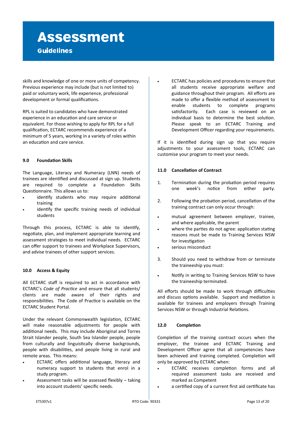# **Assessment**

### **Guidelines**

skills and knowledge of one or more units of competency. Previous experience may include (but is not limited to) paid or voluntary work, life experience, professional development or formal qualifications.

RPL is suited to candidates who have demonstrated experience in an education and care service or equivalent. For those wishing to apply for RPL for a full qualification, ECTARC recommends experience of a minimum of 5 years, working in a variety of roles within an education and care service.

### **9.0 Foundation Skills**

The Language, Literacy and Numeracy (LNN) needs of trainees are identified and discussed at sign up. Students are required to complete a Foundation Skills Questionnaire. This allows us to:

- identify students who may require additional training
- identify the specific training needs of individual students

Through this process, ECTARC is able to identify, negotiate, plan, and implement appropriate learning and assessment strategies to meet individual needs. ECTARC can offer support to trainees and Workplace Supervisors, and advise trainees of other support services.

### **10.0 Access & Equity**

All ECTARC staff is required to act in accordance with ECTARC's *Code of Practice* and ensure that all students/ clients are made aware of their rights and responsibilities. The Code of Practice is available on the ECTARC Student Portal.

Under the relevant Commonwealth legislation*,* ECTARC will make reasonable adjustments for people with additional needs. This may include Aboriginal and Torres Strait Islander people, South Sea Islander people, people from culturally and linguistically diverse backgrounds, people with disabilities, and people living in rural and remote areas. This means:

- ECTARC offers additional language, literacy and numeracy support to students that enrol in a study program.
- Assessment tasks will be assessed flexibly taking into account students' specific needs.

• ECTARC has policies and procedures to ensure that all students receive appropriate welfare and guidance throughout their program. All efforts are made to offer a flexible method of assessment to enable students to complete programs satisfactorily. Each case is reviewed on an individual basis to determine the best solution. Please speak to an ECTARC Training and Development Officer regarding your requirements.

If it is identified during sign up that you require adjustments to your assessment tools, ECTARC can customise your program to meet your needs.

### **11.0 Cancellation of Contract**

- 1. Termination during the probation period requires one week's notice from either party.
- 2. Following the probation period, cancellation of the training contract can only occur through:
- mutual agreement between employer, trainee, and where applicable, the parent
- where the parties do not agree: application stating reasons must be made to Training Services NSW for investigation
- serious misconduct
- 3. Should you need to withdraw from or terminate the traineeship you must:
- Notify in writing to Training Services NSW to have the traineeship terminated.

All efforts should be made to work through difficulties and discuss options available. Support and mediation is available for trainees and employers through Training Services NSW or through Industrial Relations.

### **12.0 Completion**

Completion of the training contract occurs when the employer, the trainee and ECTARC Training and Development Officer agree that all competencies have been achieved and training completed. Completion will only be approved by ECTARC when:

- ECTARC receives completion forms and all required assessment tasks are received and marked as Competent
- a certified copy of a current first aid certificate has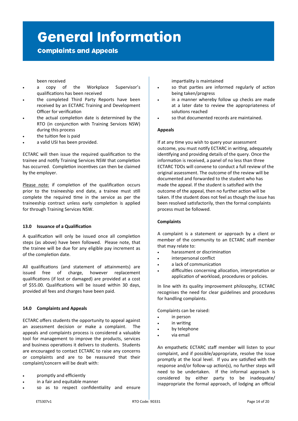## **General Information**

### **Complaints and Appeals**

been received

- a copy of the Workplace Supervisor's qualifications has been received
- the completed Third Party Reports have been received by an ECTARC Training and Development Officer for verification
- the actual completion date is determined by the RTO (in conjunction with Training Services NSW) during this process
- the tuition fee is paid
- a valid USI has been provided.

ECTARC will then issue the required qualification to the trainee and notify Training Services NSW that completion has occurred. Completion incentives can then be claimed by the employer.

Please note: if completion of the qualification occurs prior to the traineeship end date, a trainee must still complete the required time in the service as per the traineeship contract unless early completion is applied for through Training Services NSW.

### **13.0 Issuance of a Qualification**

A qualification will only be issued once all completion steps (as above) have been followed. Please note, that the trainee will be due for any eligible pay increment as of the completion date.

All qualifications (and statement of attainments) are issued free of charge, however replacement qualifications (if lost or damaged) are provided at a cost of \$55.00. Qualifications will be issued within 30 days, provided all fees and charges have been paid.

### **14.0 Complaints and Appeals**

ECTARC offers students the opportunity to appeal against an assessment decision or make a complaint. The appeals and complaints process is considered a valuable tool for management to improve the products, services and business operations it delivers to students. Students are encouraged to contact ECTARC to raise any concerns or complaints and are to be reassured that their complaint/concern will be dealt with:

- promptly and efficiently
- in a fair and equitable manner
- so as to respect confidentiality and ensure

impartiality is maintained

- so that parties are informed regularly of action being taken/progress
- in a manner whereby follow up checks are made at a later date to review the appropriateness of solutions reached
- so that documented records are maintained.

#### **Appeals**

If at any time you wish to query your assessment outcome, you must notify ECTARC in writing, adequately identifying and providing details of the query. Once the information is received, a panel of no less than three ECTARC TDOs will convene to conduct a full review of the original assessment. The outcome of the review will be documented and forwarded to the student who has made the appeal. If the student is satisfied with the outcome of the appeal, then no further action will be taken. If the student does not feel as though the issue has been resolved satisfactorily, then the formal complaints process must be followed.

### **Complaints**

A complaint is a statement or approach by a client or member of the community to an ECTARC staff member that may relate to:

- harassment or discrimination
- interpersonal conflict
- a lack of communication
- difficulties concerning allocation, interpretation or application of workload, procedures or policies.

In line with its quality improvement philosophy, ECTARC recognises the need for clear guidelines and procedures for handling complaints.

Complaints can be raised:

- in person
- in writing
- by telephone
- via email

An empathetic ECTARC staff member will listen to your complaint, and if possible/appropriate, resolve the issue promptly at the local level. If you are satisfied with the response and/or follow-up action(s), no further steps will need to be undertaken. If the informal approach is considered by either party to be inadequate/ inappropriate the formal approach, of lodging an official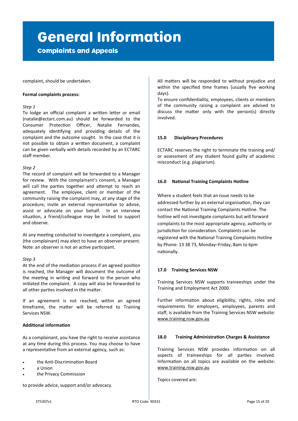# **General Information**

**Complaints and Appeals** 

complaint, should be undertaken.

### **Formal complaints process:**

### *Step 1*

To lodge an official complaint a written letter or email (natalie@ectarc.com.au) should be forwarded to the Consumer Protection Officer, Natalie Fernandes, adequately identifying and providing details of the complaint and the outcome sought. In the case that it is not possible to obtain a written document, a complaint can be given verbally with details recorded by an ECTARC staff member.

### *Step 2*

The record of complaint will be forwarded to a Manager for review. With the complainant's consent, a Manager will call the parties together and attempt to reach an agreement. The employee, client or member of the community raising the complaint may, at any stage of the procedure, invite an external representative to advise, assist or advocate on your behalf. In an interview situation, a friend/colleague may be invited to support and observe.

At any meeting conducted to investigate a complaint, you (the complainant) may elect to have an observer present. Note: an observer is not an active participant.

### *Step 3*

At the end of the mediation process if an agreed position is reached, the Manager will document the outcome of the meeting in writing and forward to the person who initiated the complaint. A copy will also be forwarded to all other parties involved in the matter.

If an agreement is not reached, within an agreed timeframe, the matter will be referred to Training Services NSW.

### **Additional information**

As a complainant, you have the right to receive assistance at any time during this process. You may choose to have a representative from an external agency, such as:

- the Anti-Discrimination Board
- a Union
- the Privacy Commission

to provide advice, support and/or advocacy.

All matters will be responded to without prejudice and within the specified time frames (usually five working days).

To ensure confidentiality, employees, clients or members of the community raising a complaint are advised to discuss the matter only with the person(s) directly involved.

#### **15.0 Disciplinary Procedures**

ECTARC reserves the right to terminate the training and/ or assessment of any student found guilty of academic misconduct (e.g. plagiarism).

### **16.0 National Training Complaints Hotline**

Where a student feels that an issue needs to be addressed further by an external organisation, they can contact the National Training Complaints Hotline. The hotline will not investigate complaints but will forward complaints to the most appropriate agency, authority or jurisdiction for consideration. Complaints can be registered with the National Training Complaints Hotline by Phone: 13 38 73, Monday–Friday, 8am to 6pm nationally.

### **17.0 Training Services NSW**

Training Services NSW supports traineeships under the Training and Employment Act 2000.

Further information about eligibility, rights, roles and requirements for employers, employees, parents and staff, is available from the Training Services NSW website: www.training.nsw.gov.au

### **18.0 Training Administration Charges & Assistance**

Training Services NSW provides information on all aspects of traineeships for all parties involved. Information on all topics are available on the website: www.training.nsw.gov.au

Topics covered are: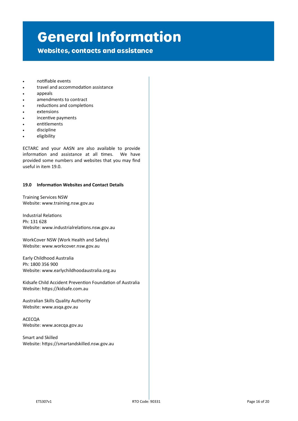## **General Information**

**Websites, contacts and assistance** 

- notifiable events
- travel and accommodation assistance
- appeals
- amendments to contract
- reductions and completions
- extensions
- incentive payments
- entitlements
- discipline
- eligibility

ECTARC and your AASN are also available to provide information and assistance at all times. We have provided some numbers and websites that you may find useful in item 19.0.

#### **19.0 Information Websites and Contact Details**

Training Services NSW Website: www.training.nsw.gov.au

Industrial Relations Ph: 131 628 Website: [www.industrialrelations.nsw.gov.au](http://www.dir.nsw.gov.au) 

WorkCover NSW (Work Health and Safety) Website: www.workcover.nsw.gov.au

Early Childhood Australia Ph: 1800 356 900 Website: www.earlychildhoodaustralia.org.au

Kidsafe Child Accident Prevention Foundation of Australia Website: [https://kidsafe.com.au](http://www.kidsafe.com.au)

Australian Skills Quality Authority Website: www.asqa.gov.au

ACECQA Website: www.acecqa.gov.au

Smart and Skilled Website: https://smartandskilled.nsw.gov.au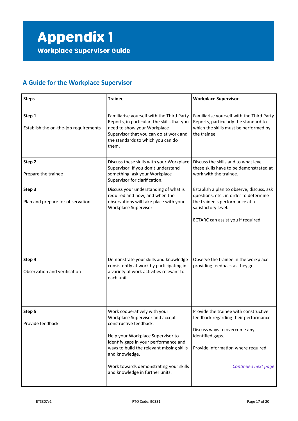### **A Guide for the Workplace Supervisor**

| <b>Steps</b>                                    | <b>Trainee</b>                                                                                                                                                                                                                                                                                                      | <b>Workplace Supervisor</b>                                                                                                                                                                      |
|-------------------------------------------------|---------------------------------------------------------------------------------------------------------------------------------------------------------------------------------------------------------------------------------------------------------------------------------------------------------------------|--------------------------------------------------------------------------------------------------------------------------------------------------------------------------------------------------|
| Step 1<br>Establish the on-the-job requirements | Familiarise yourself with the Third Party<br>Reports, in particular, the skills that you<br>need to show your Workplace<br>Supervisor that you can do at work and<br>the standards to which you can do<br>them.                                                                                                     | Familiarise yourself with the Third Party<br>Reports, particularly the standard to<br>which the skills must be performed by<br>the trainee.                                                      |
| Step 2<br>Prepare the trainee                   | Discuss these skills with your Workplace<br>Supervisor. If you don't understand<br>something, ask your Workplace<br>Supervisor for clarification.                                                                                                                                                                   | Discuss the skills and to what level<br>these skills have to be demonstrated at<br>work with the trainee.                                                                                        |
| Step 3<br>Plan and prepare for observation      | Discuss your understanding of what is<br>required and how, and when the<br>observations will take place with your<br>Workplace Supervisor.                                                                                                                                                                          | Establish a plan to observe, discuss, ask<br>questions, etc., in order to determine<br>the trainee's performance at a<br>satisfactory level.<br>ECTARC can assist you if required.               |
| Step 4<br>Observation and verification          | Demonstrate your skills and knowledge<br>consistently at work by participating in<br>a variety of work activities relevant to<br>each unit.                                                                                                                                                                         | Observe the trainee in the workplace<br>providing feedback as they go.                                                                                                                           |
| Step 5<br>Provide feedback                      | Work cooperatively with your<br>Workplace Supervisor and accept<br>constructive feedback.<br>Help your Workplace Supervisor to<br>identify gaps in your performance and<br>ways to build the relevant missing skills<br>and knowledge.<br>Work towards demonstrating your skills<br>and knowledge in further units. | Provide the trainee with constructive<br>feedback regarding their performance.<br>Discuss ways to overcome any<br>identified gaps.<br>Provide information where required.<br>Continued next page |
|                                                 |                                                                                                                                                                                                                                                                                                                     |                                                                                                                                                                                                  |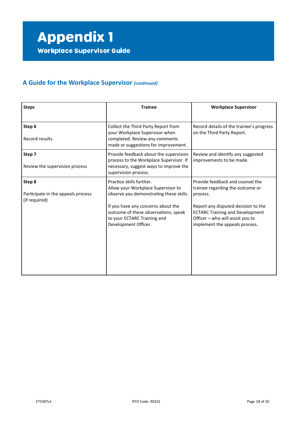### **A Guide for the Workplace Supervisor** *(continued)*

| <b>Steps</b>                                                  | <b>Trainee</b>                                                                                                                                                                                                                                 | <b>Workplace Supervisor</b>                                                                                                                                                                                                             |
|---------------------------------------------------------------|------------------------------------------------------------------------------------------------------------------------------------------------------------------------------------------------------------------------------------------------|-----------------------------------------------------------------------------------------------------------------------------------------------------------------------------------------------------------------------------------------|
| Step 6<br>Record results                                      | Collect the Third Party Report from<br>your Workplace Supervisor when<br>completed. Review any comments<br>made or suggestions for improvement.                                                                                                | Record details of the trainee's progress<br>on the Third Party Report.                                                                                                                                                                  |
| Step 7<br>Review the supervision process                      | Provide feedback about the supervision<br>process to the Workplace Supervisor. If<br>necessary, suggest ways to improve the<br>supervision process.                                                                                            | Review and identify any suggested<br>improvements to be made.                                                                                                                                                                           |
| Step 8<br>Participate in the appeals process<br>(if required) | Practice skills further.<br>Allow your Workplace Supervisor to<br>observe you demonstrating these skills.<br>If you have any concerns about the<br>outcome of these observations, speak<br>to your ECTARC Training and<br>Development Officer. | Provide feedback and counsel the<br>trainee regarding the outcome or<br>process.<br>Report any disputed decision to the<br><b>ECTARC Training and Development</b><br>Officer - who will assist you to<br>implement the appeals process. |